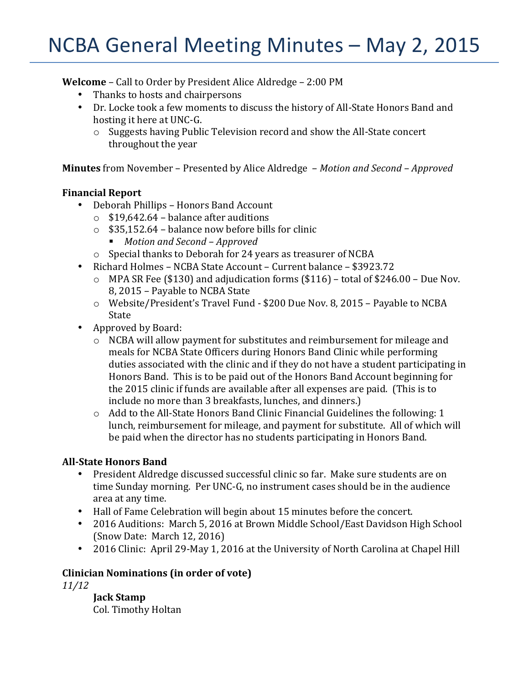# NCBA General Meeting Minutes - May 2, 2015

**Welcome** – Call to Order by President Alice Aldredge – 2:00 PM

- Thanks to hosts and chairpersons
- Dr. Locke took a few moments to discuss the history of All-State Honors Band and hosting it here at UNC-G.
	- $\circ$  Suggests having Public Television record and show the All-State concert throughout the year

**Minutes** from November – Presented by Alice Aldredge – *Motion and Second* – *Approved* 

# **Financial Report**

- Deborah Phillips Honors Band Account
	- $\circ$  \$19,642.64 balance after auditions
	- $\circ$  \$35,152.64 balance now before bills for clinic
		- § *Motion and Second – Approved*
	- $\circ$  Special thanks to Deborah for 24 years as treasurer of NCBA
- Richard Holmes NCBA State Account Current balance \$3923.72
	- $\circ$  MPA SR Fee (\$130) and adjudication forms (\$116) total of \$246.00 Due Nov. 8, 2015 - Payable to NCBA State
	- $\circ$  Website/President's Travel Fund \$200 Due Nov. 8, 2015 Payable to NCBA **State**
- Approved by Board:
	- $\circ$  NCBA will allow payment for substitutes and reimbursement for mileage and meals for NCBA State Officers during Honors Band Clinic while performing duties associated with the clinic and if they do not have a student participating in Honors Band. This is to be paid out of the Honors Band Account beginning for the 2015 clinic if funds are available after all expenses are paid. (This is to include no more than 3 breakfasts, lunches, and dinners.)
	- $\circ$  Add to the All-State Honors Band Clinic Financial Guidelines the following: 1 lunch, reimbursement for mileage, and payment for substitute. All of which will be paid when the director has no students participating in Honors Band.

# **All-State Honors Band**

- President Aldredge discussed successful clinic so far. Make sure students are on time Sunday morning. Per UNC-G, no instrument cases should be in the audience area at any time.
- Hall of Fame Celebration will begin about 15 minutes before the concert.
- 2016 Auditions: March 5, 2016 at Brown Middle School/East Davidson High School (Snow Date: March  $12, 2016$ )
- 2016 Clinic: April 29-May 1, 2016 at the University of North Carolina at Chapel Hill

# **Clinician Nominations (in order of vote)**

*11/12*

**Jack Stamp** Col. Timothy Holtan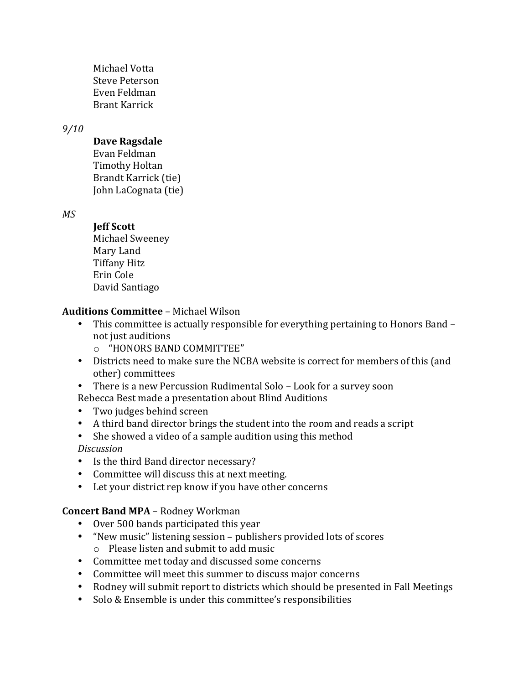Michael Votta Steve Peterson Even Feldman Brant Karrick

# *9/10*

# **Dave Ragsdale**

Evan Feldman Timothy Holtan Brandt Karrick (tie) John LaCognata (tie)

*MS*

# **Jeff Scott**

Michael Sweeney Mary Land Tiffany Hitz Erin Cole David Santiago

# **Auditions Committee** – Michael Wilson

- This committee is actually responsible for everything pertaining to Honors Band not just auditions
	- $\circ$  "HONORS BAND COMMITTEE"
- Districts need to make sure the NCBA website is correct for members of this (and other) committees
- There is a new Percussion Rudimental Solo Look for a survey soon
- Rebecca Best made a presentation about Blind Auditions
- Two judges behind screen
- A third band director brings the student into the room and reads a script
- She showed a video of a sample audition using this method *Discussion*
- Is the third Band director necessary?
- Committee will discuss this at next meeting.
- Let your district rep know if you have other concerns

# **Concert Band MPA** – Rodney Workman

- Over 500 bands participated this year
- "New music" listening session publishers provided lots of scores  $\circ$  Please listen and submit to add music
- Committee met today and discussed some concerns
- Committee will meet this summer to discuss major concerns
- Rodney will submit report to districts which should be presented in Fall Meetings
- Solo & Ensemble is under this committee's responsibilities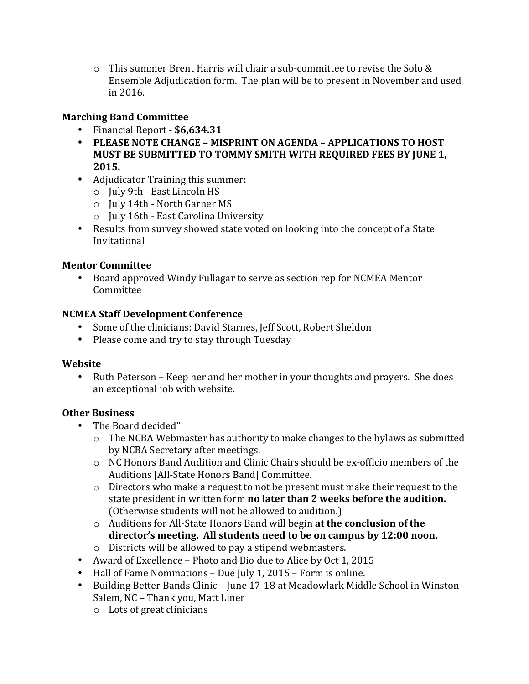$\circ$  This summer Brent Harris will chair a sub-committee to revise the Solo & Ensemble Adjudication form. The plan will be to present in November and used in 2016.

# **Marching Band Committee**

- Financial Report - **\$6,634.31**
- **PLEASE NOTE CHANGE MISPRINT ON AGENDA APPLICATIONS TO HOST MUST BE SUBMITTED TO TOMMY SMITH WITH REQUIRED FEES BY JUNE 1, 2015.**
- Adjudicator Training this summer:
	- o July 9th East Lincoln HS
	- $\circ$  July 14th North Garner MS
	- $\circ$  July 16th East Carolina University
- Results from survey showed state voted on looking into the concept of a State Invitational

# **Mentor Committee**

• Board approved Windy Fullagar to serve as section rep for NCMEA Mentor **Committee** 

# **NCMEA Staff Development Conference**

- Some of the clinicians: David Starnes, Jeff Scott, Robert Sheldon
- Please come and try to stay through Tuesday

## **Website**

• Ruth Peterson – Keep her and her mother in your thoughts and prayers. She does an exceptional job with website.

## **Other Business**

- The Board decided"
	- $\circ$  The NCBA Webmaster has authority to make changes to the bylaws as submitted by NCBA Secretary after meetings.
	- $\circ$  NC Honors Band Audition and Clinic Chairs should be ex-officio members of the Auditions [All-State Honors Band] Committee.
	- $\circ$  Directors who make a request to not be present must make their request to the state president in written form **no later than 2 weeks before the audition.** (Otherwise students will not be allowed to audition.)
	- o Auditions for All-State Honors Band will begin at the conclusion of the director's meeting. All students need to be on campus by 12:00 noon.
	- $\circ$  Districts will be allowed to pay a stipend webmasters.
- Award of Excellence Photo and Bio due to Alice by Oct 1, 2015
- Hall of Fame Nominations Due July 1, 2015 Form is online.
- Building Better Bands Clinic June 17-18 at Meadowlark Middle School in Winston-Salem, NC - Thank you, Matt Liner
	- $\circ$  Lots of great clinicians